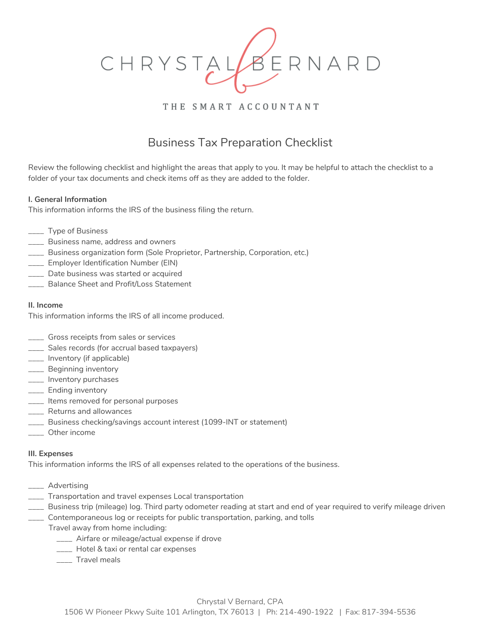

## THE SMART ACCOUNTANT

# Business Tax Preparation Checklist

Review the following checklist and highlight the areas that apply to you. It may be helpful to attach the checklist to a folder of your tax documents and check items off as they are added to the folder.

#### **I. General Information**

This information informs the IRS of the business filing the return.

- \_\_\_\_ Type of Business
- \_\_\_\_ Business name, address and owners
- \_\_\_\_ Business organization form (Sole Proprietor, Partnership, Corporation, etc.)
- \_\_\_\_ Employer Identification Number (EIN)
- \_\_\_\_ Date business was started or acquired
- \_\_\_\_ Balance Sheet and Profit/Loss Statement

#### **II. Income**

This information informs the IRS of all income produced.

- \_\_\_\_ Gross receipts from sales or services
- \_\_\_\_ Sales records (for accrual based taxpayers)
- \_\_\_\_ Inventory (if applicable)
- **\_\_\_\_** Beginning inventory
- **\_\_\_\_** Inventory purchases
- **\_\_\_\_** Ending inventory
- \_\_\_\_ Items removed for personal purposes
- \_\_\_\_ Returns and allowances
- \_\_\_\_ Business checking/savings account interest (1099-INT or statement)
- \_\_\_\_ Other income

### **III. Expenses**

This information informs the IRS of all expenses related to the operations of the business.

- \_\_\_\_ Advertising
- \_\_\_\_ Transportation and travel expenses Local transportation
- \_\_\_\_ Business trip (mileage) log. Third party odometer reading at start and end of year required to verify mileage driven
- \_\_\_\_ Contemporaneous log or receipts for public transportation, parking, and tolls
- Travel away from home including:
	- \_\_\_\_ Airfare or mileage/actual expense if drove
	- \_\_\_\_ Hotel & taxi or rental car expenses
	- \_\_\_\_ Travel meals